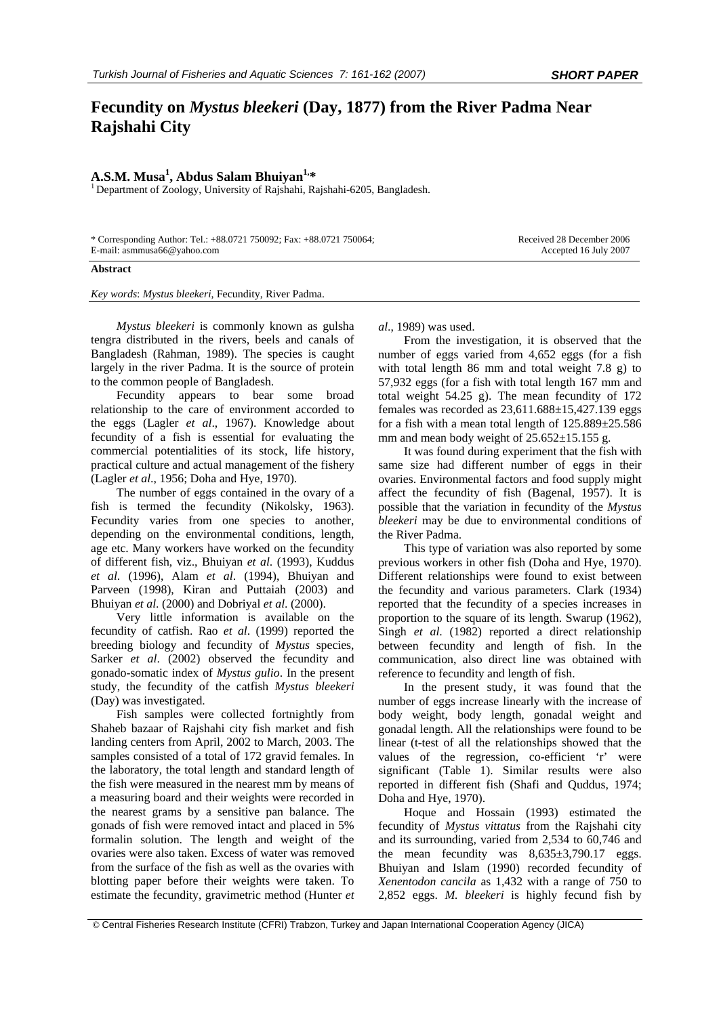## **Fecundity on** *Mystus bleekeri* **(Day, 1877) from the River Padma Near Rajshahi City**

## A.S.M. Musa<sup>1</sup>, Abdus Salam Bhuiyan<sup>1,\*</sup>

<sup>1</sup> Department of Zoology, University of Rajshahi, Rajshahi-6205, Bangladesh.

\* Corresponding Author: Tel.: +88.0721 750092; Fax: +88.0721 750064; E-mail: asmmusa66@yahoo.com

Received 28 December 2006 Accepted 16 July 2007

## **Abstract**

*Key words*: *Mystus bleekeri*, Fecundity, River Padma.

*Mystus bleekeri* is commonly known as gulsha tengra distributed in the rivers, beels and canals of Bangladesh (Rahman, 1989). The species is caught largely in the river Padma. It is the source of protein to the common people of Bangladesh.

Fecundity appears to bear some broad relationship to the care of environment accorded to the eggs (Lagler *et al*., 1967). Knowledge about fecundity of a fish is essential for evaluating the commercial potentialities of its stock, life history, practical culture and actual management of the fishery (Lagler *et al*., 1956; Doha and Hye, 1970).

The number of eggs contained in the ovary of a fish is termed the fecundity (Nikolsky, 1963). Fecundity varies from one species to another, depending on the environmental conditions, length, age etc. Many workers have worked on the fecundity of different fish, viz., Bhuiyan *et al*. (1993), Kuddus *et al*. (1996), Alam *et al*. (1994), Bhuiyan and Parveen (1998), Kiran and Puttaiah (2003) and Bhuiyan *et al*. (2000) and Dobriyal *et al*. (2000).

Very little information is available on the fecundity of catfish. Rao *et al*. (1999) reported the breeding biology and fecundity of *Mystus* species, Sarker *et al*. (2002) observed the fecundity and gonado-somatic index of *Mystus gulio*. In the present study, the fecundity of the catfish *Mystus bleekeri*  (Day) was investigated.

Fish samples were collected fortnightly from Shaheb bazaar of Rajshahi city fish market and fish landing centers from April, 2002 to March, 2003. The samples consisted of a total of 172 gravid females. In the laboratory, the total length and standard length of the fish were measured in the nearest mm by means of a measuring board and their weights were recorded in the nearest grams by a sensitive pan balance. The gonads of fish were removed intact and placed in 5% formalin solution. The length and weight of the ovaries were also taken. Excess of water was removed from the surface of the fish as well as the ovaries with blotting paper before their weights were taken. To estimate the fecundity, gravimetric method (Hunter *et*  *al*., 1989) was used.

From the investigation, it is observed that the number of eggs varied from 4,652 eggs (for a fish with total length 86 mm and total weight 7.8 g) to 57,932 eggs (for a fish with total length 167 mm and total weight  $54.25$  g). The mean fecundity of 172 females was recorded as  $23.611.688 \pm 15.427.139$  eggs for a fish with a mean total length of  $125.889 \pm 25.586$ mm and mean body weight of  $25.652 \pm 15.155$  g.

It was found during experiment that the fish with same size had different number of eggs in their ovaries. Environmental factors and food supply might affect the fecundity of fish (Bagenal, 1957). It is possible that the variation in fecundity of the *Mystus bleekeri* may be due to environmental conditions of the River Padma.

This type of variation was also reported by some previous workers in other fish (Doha and Hye, 1970). Different relationships were found to exist between the fecundity and various parameters. Clark (1934) reported that the fecundity of a species increases in proportion to the square of its length. Swarup (1962), Singh *et al*. (1982) reported a direct relationship between fecundity and length of fish. In the communication, also direct line was obtained with reference to fecundity and length of fish.

In the present study, it was found that the number of eggs increase linearly with the increase of body weight, body length, gonadal weight and gonadal length. All the relationships were found to be linear (t-test of all the relationships showed that the values of the regression, co-efficient 'r' were significant (Table 1). Similar results were also reported in different fish (Shafi and Quddus, 1974; Doha and Hye, 1970).

Hoque and Hossain (1993) estimated the fecundity of *Mystus vittatus* from the Rajshahi city and its surrounding, varied from 2,534 to 60,746 and the mean fecundity was  $8,635\pm3,790.17$  eggs. Bhuiyan and Islam (1990) recorded fecundity of *Xenentodon cancila* as 1,432 with a range of 750 to 2,852 eggs. *M. bleekeri* is highly fecund fish by

 <sup>©</sup> Central Fisheries Research Institute (CFRI) Trabzon, Turkey and Japan International Cooperation Agency (JICA)